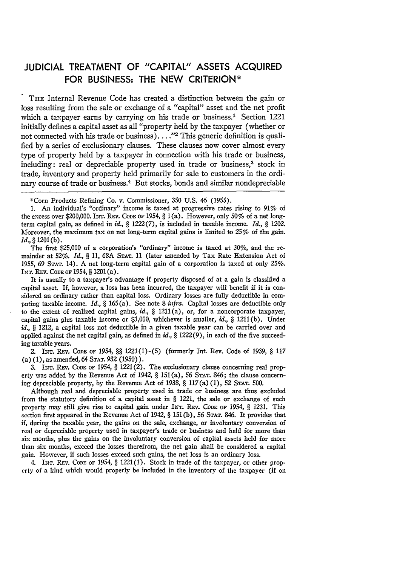## **JUDICIAL** TREATMENT OF **"CAPITAL" ASSETS ACQUIRED** FOR **BUSINESS:** THE **NEW** CRITERION\*

THE Internal Revenue Code has created a distinction between the gain or loss resulting from the sale or exchange of a "capital" asset and the net profit which a taxpayer earns by carrying on his trade or business.<sup>1</sup> Section 1221 initially defines a capital asset as all "property held by the taxpayer (whether or not connected with his trade or business)...."<sup>2</sup> This generic definition is qualified by a series of exclusionary clauses. These clauses now cover almost every type of property held by a taxpayer in connection with his trade or business, including: real or depreciable property used in trade or business,<sup>3</sup> stock in trade, inventory and property held primarily for sale to customers in the ordinary course of trade or business.<sup>4</sup> But stocks, bonds and similar nondepreciable

The first \$25,000 of a corporation's "ordinary" income is taxed at 30%, and the remainder at 52%. *Id., §* 11, 68A **STAT.** 11 (later amended by Tax Rate Extension Act of 1955, 69 **STAT.** 14). A net long-term capital gain of a corporation is taxed at only 25%. INT. REv. **CODE OF** 1954, § 1201 (a).

It is usually to a taxpayer's advantage if property disposed of at a gain is classified a capital asset. If, however, a loss has been incurred, the taxpayer will benefit if it is considered an ordinary rather than capital loss. Ordinary losses are fully deductible in computing taxable income. *Id., §* 165 (a). See note **8** *infra.* Capital losses are deductible only to the extent of realized capital gains, *id.,* § 1211(a), or, for a noncorporate taxpayer, capital gains plus taxable income or \$1,000, whichever is smaller, *id., §* 1211(b). Under *id., §* 1212, a capital loss not deductible in a given taxable year can be carried over and applied against the net capital gain, as defined in *id., §* 1222(9), in each of the five succeeding taxable years.

2. INT. REv. **CODE** OF 1954, §§ 1221(1)-(5) (formerly Int. Rev. Code of 1939, § 117 (a) (1), as amended, 64 **STAT.** 932 (1950)).

**3.** INT. Rzv. **CODE OF** 1954, § 1221(2). The exclusionary clause concerning real property was added by the Revenue Act of 1942, § 151(a), 56 **STAT.** 846; the clause concerning depreciable property, by the Revenue Act of 1938, § 117(a) (1), 52 **STAT.** 500.

Although real and depreciable property used in trade or business are thus excluded from the statutory definition of a capital asset in  $\S$  1221, the sale or exchange of such property may still give rise to capital gain under INT. REv. **CODE OF** 1954, § 1231. This section first appeared in the Revenue Act of 1942, § 151(b), 56 **STAT.** 846. It provides that if, during the taxable year, the gains on the sale, exchange, or involuntary conversion of real or depreciable property used in taxpayer's trade or business and held for more than six months, plus the gains on the involuntary conversion of capital assets held for more than six months, exceed the losses therefrom, the net gain shall be considered a capital gain. However, if such losses exceed such gains, the net loss is an ordinary loss.

4. **INT.** REv. **CODE** OF 1954, § 1221(1). Stock in trade of the taxpayer, or other property of a kind which would properly be included in the inventory of the taxpayer (if on

<sup>\*</sup>Corn Products Refining Co. v. Commissioner, 350 U.S. 46 **(1955).**

<sup>1.</sup> An individual's "ordinary" income is taxed at progressive rates rising to 91% of the excess over \$200,000. INT. REv. **CODE OF** 1954, § 1 (a). However, only 50% of a net longterm capital gain, as defined in id., § 1222(7), is included in taxable income. *Id., §* 1202. Moreover, the maximum tax on net long-term capital gains is limited to  $25%$  of the gain. *Id.,* **§ 1201(b).**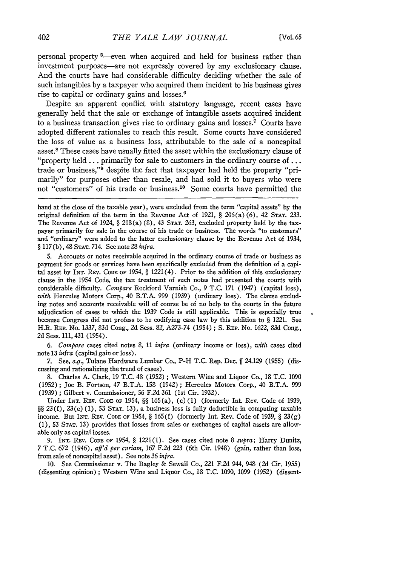personal property <sup>5</sup>—even when acquired and held for business rather than investment purposes-are not expressly covered by any exclusionary clause. And the courts have had considerable difficulty deciding whether the sale of such intangibles by a taxpayer who acquired them incident to his business gives rise to capital or ordinary gains and losses.<sup>6</sup>

Despite an apparent conflict with statutory language, recent cases have generally held that the sale or exchange of intangible assets acquired incident to a business transaction gives rise to ordinary gains and losses.<sup>7</sup> Courts have adopted different rationales to reach this result. Some courts have considered the loss of value as a business loss, attributable to the sale of a noncapital asset.8 These cases have usually fitted the asset within the exclusionary clause of "property held **...** primarily for sale to customers in the ordinary course of... trade or business,"<sup>9</sup> despite the fact that taxpayer had held the property "primarily" for purposes other than resale, and had sold it to buyers who were not "customers" of his trade or business.10 Some courts have permitted the

5. Accounts or notes receivable acquired in the ordinary course of trade or business as payment for goods or services have been specifically excluded from the definition of a capital asset by INT. REV. CODE OF 1954, § 1221(4). Prior to the addition of this exclusionary clause in the 1954 Code, the tax treatment of such notes had presented the courts with considerable difficulty. *Compare* Rockford Varnish Co., 9 T.C. 171 (1947) (capital loss), *with* Hercules Motors Corp., 40 B.T.A. 999 (1939) (ordinary loss). The clause excluding notes and accounts receivable will of course be of no help to the courts in the future adjudication of cases to which the 1939 Code is still applicable. This is especially true because Congress did not profess to be codifying case law by this addition to **§** 1221. See H.R. REP. No. 1337, 83d Cong., 2d Sess. 82, A273-74 (1954) ; **S.** REP. No. 1622, 83d Cong., 2d Sess. 111, 431 (1954).

*6. Compare* cases cited notes 8, 11 infra (ordinary income or loss), *with* cases cited note 13 *infra* (capital gain or loss).

7. See, *e.g.*, Tulane Hardware Lumber Co., P-H T.C. Rep. Dec.  $\int$  24.129 (1955) (discussing and rationalizing the trend of cases).

8. Charles A. Clark, 19 T.C. 48 (1952) ; Western Wine and Liquor Co., 18 T.C. 1090 (1952); Joe B. Fortson, 47 B.T.A. 153 (1942) ; Hercules Motors Corp., 40 B.T.A. 999 (1939); Gilbert v. Commissioner, 56 F.2d 361 (1st Cir. 1932).

Under **INT.** REV. **CODE** OF 1954, **§§** 165(a), (c) (1) (formerly Int. Rev. Code of 1939, 8§ 23(f), 23(e) (1), 53 STAT. 13), a business loss is fully deductible in computing taxable income. But INT. REV. CODE OF 1954, **§** 165 (f) (formerly Int. Rev. Code of 1939, § 23(g) (1), 53 STAT. 13) provides that losses from sales or exchanges of capital assets are allowable only as capital losses.

9. INT. REV. **CODE** OF 1954, **§** 1221(1). See cases cited note **8** *supra;* Harry Dunitz, 7 T.C. 672 (1946), *aff'd per* curiam, 167 F.2d 223 (6th Cir. 1948) (gain, rather than loss, from sale of noncapital asset). See note 36 *infra.*

10. See Commissioner v. The Bagley & Sewall Co., 221 F.2d 944, 948 (2d Cir. 1955) (dissenting opinion) ; Western Wine and Liquor Co., 18 T.C. 1090, 1099 (1952) (dissent-

hand at the close of the taxable year), were excluded from the term "capital assets" by the original definition of the term in the Revenue Act of 1921, § 206(a) (6), 42 **STAT.** 233. The Revenue Act of 1924, § 209(a) (8), 43 STAT. 263, excluded property held by the taxpayer primarily for sale in the course of his trade or business. The words "to customers" and "ordinary" were added to the latter exclusionary clause by the Revenue Act of 1934, § 117 (b), 48 STAT. 714. See note 28 *infra.*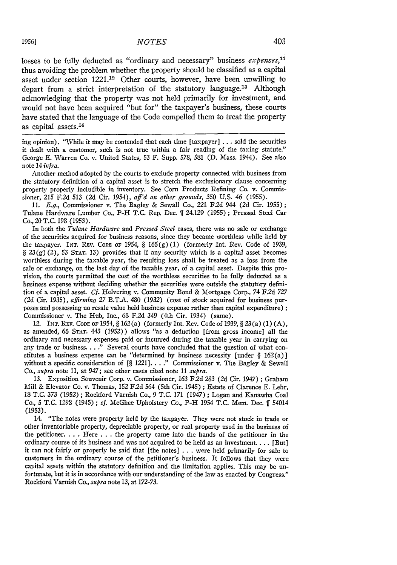losses to be fully deducted as "ordinary and necessary" business expenses,<sup>11</sup> thus avoiding the problem whether the property should be classified as a capital asset under section 1221.12 Other courts, however, have been unwilling to depart from a strict interpretation of the statutory language.<sup>13</sup> Although acknowledging that the property was not held primarily for investment, and would not have been acquired "but for" the taxpayer's business, these courts have stated that the language of the Code compelled them to treat the property as capital assets.14

ing opinion). "While it may be contended that each time [taxpayer] **...** sold the securities it dealt with a customer, such is not true within a fair reading of the taxing statute." George **E.** Warren Co. v. United States, 53 F. Supp. 578, 581 **(D.** Mass. 1944). See also note 14 *infra.*

Another method adopted **by** the courts to exclude property connected with business from the statutory definition of a capital asset is to stretch the exclusionary clause concerning property properly includible in inventory. See Corn Products Refining Co. v. Commissioner, 215 F.2d 513 (2d Cir. 1954), *aff'd on other grounds,* 350 **U.S.** 46 (1955).

**11.** *E.g.,* Commissioner v. The Bagley & Sewall Co., 221, F.2d 944 (2d Cir. 1955); Tulane Hardware Lumber Co., P-H **T.C.** Rep. Dec. **ff** 24.129 (1955) ; Pressed Steel Car Co., 20 T.C. **198** (1953).

In both the *Tulane Hardware* and *Pressed Steel* cases, there was no sale or exchange of the securities acquired for business reasons, since they became worthless while held by the taxpayer. INT. REV. Code of 1954, § 165(g) (1) (formerly Int. Rev. Code of 1939,  $\S 23(g)(2)$ , 53 STAT. 13) provides that if any security which is a capital asset becomes worthless during the taxable year, the resulting loss shall be treated as a loss from the sale or exchange, on the last day of the taxable year, of a capital asset. Despite this provision, the courts permitted the cost of the worthless securities to be fully deducted as a business expense without deciding whether the securities were outside the statutory definition of a capital asset. *Cf.* Helvering v. Community Bond & Mortgage Corp., 74 F.2d *727* (2d Cir. 1935), affirming *27* B.T.A. 480 (1932) (cost of stock acquired for business purposes and possessing no resale value held business expense rather than capital expenditure); Commissioner v. The Hub, Inc., 68 F.2d 349 (4th Cir. 1934) (same).

**12. INT.** Rav. **CODE** OF 1954, § **162** (a) (formerly Int. Rev. Code of 1939, § 23 (a) (1) (A), as amended, 66 **STAT.** 443 (1952)) allows "as a deduction [from gross income] all the ordinary and necessary expenses paid or incurred during the taxable year in carrying on any trade or business. . . **."** Several courts have concluded that the question of what constitutes a business expense can be "determined by business necessity [under  $\S$  162(a)] without a specific consideration of [§ 1221]. . . ." Commissioner v. The Bagley & Sewall *Co., supra* note **11,** at 947; see other cases cited note **11** *supra.*

**13.** Exposition Souvenir Corp. v. Commissioner, 163 F.2d *283 (2d* Cir. 1947) ; Graham Mill & Elevator Co. v. Thomas, 152 F.2d 564 (5th Cir. 1945) ; Estate of Clarence E. Lehr, **18** T.C. *373* (1952); Rockford Varnish Co., 9 T.C. **171** (1947) ; Logan and Kanawha Coal Co., 5 T.C. 1298 (1945); *ef.* McGhee Upholstery Co., P-H 1954 T.C. Mem. Dec. **if** 54014 *(1953).*

14. "The notes were property held by the taxpayer. They were not stock in trade or other inventoriable property, depreciable property, or real property used in the business of the petitioner. **. .** . Here . . **.** the property came into the hands of the petitioner in the ordinary course of its business and was not acquired to be held as an investment **....** [But] it can not fairly or properly be said that [the notes] ... were held primarily for sale to customers in the ordinary course of the petitioner's business. It follows that they were capital assets within the statutory definition and the limitation applies. This may be unfortunate, but it is in accordance with our understanding of the law as enacted **by** Congress." Rockford Varnish Co., *supra* note **13,** at 172-73.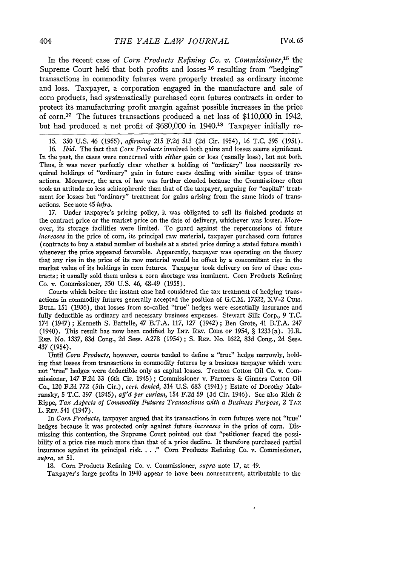In the recent case of *Corn Products Refining Co. v. Commissioner,15* the Supreme Court held that both profits and losses **16** resulting from "hedging" transactions in commodity futures were properly treated as ordinary income and loss. Taxpayer, a corporation engaged in the manufacture and sale of corn products, had systematically purchased corn futures contracts in order to protect its manufacturing profit margin against possible increases in the price of corn. 17 The futures transactions produced a net loss of \$110,000 in 1942, but had produced a net profit of \$680,000 in 1940.18 Taxpayer initially re-

15. 350 U.S. 46 (1955), *afflrning* 215 F.2d 513 **(2d** Cir. 1954), 16 T.C. 395 (1951).

16. *Ibid.* The fact that *Corn Products* involved both gains and losses seems significant. In the past, the cases were concerned with *either* gain or loss (usually loss), but not both. Thus, it was never perfectly clear whether a holding of "ordinary" loss necessarily required holdings of "ordinary" gain in future cases dealing with similar types **of** transactions. Moreover, the area of law was further clouded because the Commissioner often took an attitude no less schizophrenic than that of the taxpayer, arguing for "capital" treatment for losses but "ordinary" treatment for gains arising from the same kinds of transactions. See note 45 *infra.*

17. Under taxpayer's pricing policy, it was obligated to sell its finished products at the contract price or the market price on the date of delivery, whichever was lower. Moreover, its storage facilities were limited. To guard against the repercussions of future *increases* in the price of corn, its principal raw material, taxpayer purchased corn futures (contracts to buy a stated number of bushels at a stated price during a stated future month) whenever the price appeared favorable. Apparently, taxpayer was operating on the theory that any rise in the price of its raw material would be offset by a concomitant rise in the market value of its holdings in corn futures. Taxpayer took delivery on few of these contracts; it usually sold them unless a corn shortage was imminent. Corn Products Refining Co. v. Commissioner, 350 U.S. 46, 48-49 (1955).

Courts which before the instant case had considered the tax treatment of hedging transactions in commodity futures generally accepted the position of G.C.M. 17322, XV-2 CuM. **BULL.** 151 (1936), that losses from so-called "true" hedges were essentially insurance and fully deductible as ordinary and necessary business expenses. Stewart Silk Corp., 9 T.C. 174 (1.947) ; Kenneth S. Battelle, 47 B.T.A. 117, *127* (1942) ; Ben Grote, 41 B.T.A. 247 (1940). This result has now been codified by INT. REV. **CODE** OF 1954, § 1233(a). H.R. RaP. No. 1337, 83d Cong., 2d Sess. A278 (1954) ; **S.** REP. No. 1622, 83d Cong., 2d Sess. 437 (1954).

Until *Corn Products,* however, courts tended to define a "true" hedge narrowly, holding that losses from transactions in commodity futures **by** a business taxpayer which were not "true" hedges were deductible only as capital losses. Trenton Cotton Oil Co. v. Commissioner, 147 **F.2d 33** (6th Cir. 1945) ; Commissioner v. Farmers & Ginners Cotton Oil Co., 120 F.2d **772** (5th Cir.), *cert. denied,* 314 **U.S. 683** (1941) ; Estate of Dorothy %Makransky, **5 T.C. 397** (1945), *aff'd per curiam,* 154 **F.2d 59** (3d Cir. 1946). See also Rich & Rippe, *Tax Aspects of Commodity Futures Transactions with a Business Purpose, 2* **TAx** L. **REv.** 541 (1947).

In *Cori; Products,* taxpayer argued that its transactions in corn futures were not "true" hedges because it was protected only against future *increases* in the price of corn. Dismissing this contention, the Supreme Court pointed out that "petitioner feared the possibility of a price rise much more than that of a price decline. It therefore purchased partial insurance against its principal risk ... " Corn Products Refining Co. v. Commissioner, *supra,* at **51.**

18. Corn Products Refining Co. v. Commissioner, *supra* note 17, at 49.

Taxpayer's large profits in 1940 appear to have been nonrecurrent, attributable to the

404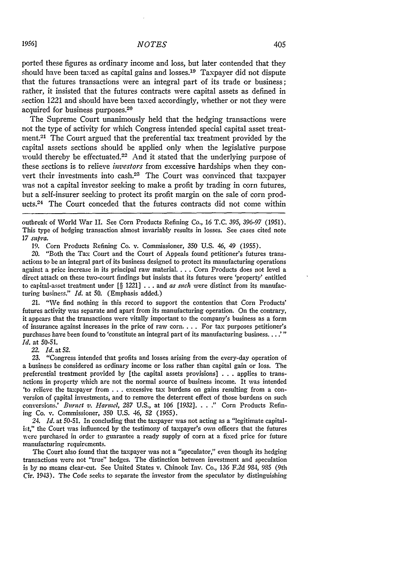ported these figures as ordinary income and loss, but later contended that they should have been taxed as capital gains and losses. 19 Taxpayer did not dispute that the futures transactions were an integral part of its trade or business; rather, it insisted that the futures contracts were capital assets as defined in section 1221 and should have been taxed accordingly, whether or not they were acquired for business purposes.<sup>20</sup>

The Supreme Court unanimously held that the hedging transactions were not the type of activity for which Congress intended special capital asset treatment.<sup>21</sup> The Court argued that the preferential tax treatment provided by the capital assets sections should be applied only when the legislative purpose would thereby be effectuated.<sup>22</sup> And it stated that the underlying purpose of these sections is to relieve *hvestors* from excessive hardships when they convert their investments into cash.<sup>23</sup> The Court was convinced that taxpayer was not a capital investor seeking to make a profit by trading in corn futures, but a self-insurer seeking to protect its profit margin on the sale of corn products.<sup>24</sup> The Court conceded that the futures contracts did not come within

outbreak of World War II. See Corn Products Refining Co., 16 T.C. 395, 396-97 (1951). This type of hedging transaction almost invariably results in losses. See cases cited note *17 supra.*

19. Corn Products Refining Co. v. Commissioner, 350 U.S. 46, 49 (1955).

20. "Both the Tax Court and the Court of Appeals found petitioner's futures transactions to be an integral part of its business designed to protect its manufacturing operations against a price increase in its principal raw material. . . . Corn Products does not level a direct attack on these two-court findings but insists that its futures were 'property' entitled to capital-asset treatment under [§ 1221] . . . and *as such* were distinct from its manufacturing business." *Id.* at **50.** (Emphasis added.)

21. "We find nothing in this record to support the contention that Corn Products' futures activity was separate and apart from its manufacturing operation. On the contrary, it appears that the transactions were vitally important to the company's business as a form of insurance against increases in the price of raw corn **....** For tax purposes petitioner's purchases have been found to 'constitute an integral part of its manufacturing business. . . . " *Id.* at 50-51.

*22. Id.* at 52.

23. "Congress intended that profits and losses arising from the every-day operation of a business be considered as ordinary income or loss rather than capital gain or loss. The preferential treatment provided by [the capital assets provisions] . . . applies to transactions in property which are not the normal source of business income. It was intended 'to relieve the taxpayer from . . . excessive tax burdens on gains resulting from a conversion of apital investments, and to remove the deterrent effect of those burdens on such conversions.' *Burnet v. Harmel, 287* U.S., at 106 [1932] .... **"** Corn Products Refining Co. v. Commissioner, 350 U.S. 46, 52 (1955).

24. *Id.* at 50-51. In concluding that the taxpayer was not acting as a "legitimate capitalist," the Court was influenced by the testimony of taxpayer's own officers that the futures were purchased in order to guarantee a ready supply of corn at a fixed price for future manufacturing requirements.

The Court also found that the taxpayer was not a "speculator," even though its hedging transactions were not "true" hedges. The distinction between investment and speculation is by no means clear-cut. See United States v. Chinook Inv. Co., 136 F.2d 984, 985 (9th Cir. 1943). The Code seeks to separate the investor from the speculator by distinguishing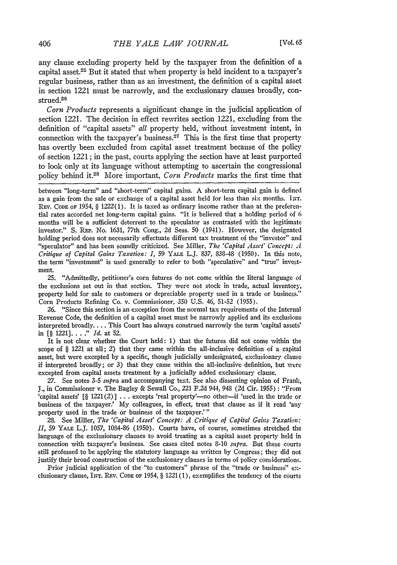any clause excluding property held by the taxpayer from the definition of a capital asset.25 But it stated that when property is held incident to a taxpayer's regular business, rather than as an investment, the definition of a capital asset in section 1221 must be narrowly, and the exclusionary clauses broadly, construed.<sup>26</sup>

*Corn Products* represents a significant change in the judicial application of section 1221. The decision in effect rewrites section 1221, excluding from the definition of "capital assets" *all* property held, without investment intent, in connection with the taxpayer's business.<sup>27</sup> This is the first time that property has overtly been excluded from capital asset treatment because of the policy of section 1221 ; in the past, courts applying the section have at least purported to look only at its language without attempting to ascertain the congressional policy behind it.<sup>2</sup> 8 More important, *Corn Products* marks the first time that

between "long-term" and "short-term" capital gains. A short-term capital gain is defined as a gain from the sale or exchange of a capital asset held for less than six months. **I.Nw.** Rev. Code of 1954, § 1222(1). It is taxed as ordinary income rather than at the preferential rates accorded net long-term capital gains. "It is believed that a holding period of 6 months will be a sufficient deterrent to the speculator as contrasted with the legitimate investor." S. **REP.** No. 1631, 77th Cong., 2d Sess. 50 (1941). However, the designated holding period does not necessarily effectuate different tax treatment of the "investor" and "speculator" and has been soundly criticized. See Miller, *The 'Capital Asset' Concept: A Critique of Capital Gains Taxation: I,* 59 YALE L.J. 837, 83S-48 (1950). In this note, the term "investment" is used generally to refer to both "speculative" and "true" investment.

25. "Admittedly, petitioner's corn futures do not come within the literal language of the exclusions set out in that section. They were not stock in trade, actual inventory, property held for sale to customers or depreciable property used in a trade or business." Corn Products Refining Co. v. Commissioner, 350 U.S. 46, 51-52 (1955).

26. "Since this section is an exception from the normal tax requirements of the Internal Revenue Code, the definition of a capital asset must be narrowly applied and its exclusions interpreted broadly.... This Court has always construed narrowly the term 'capital assets' in [§ 1221]... **."** *Id.* at 52.

It is not clear whether the Court held: 1) that the futures did not come within the scope of § 1221 at all; 2) that they came within the all-inclusive definition of a capital asset, but were excepted by a specific, though judicially undesignated, exclusionary clause if interpreted broadly; or 3) that they came within the all-inclusive definition, but were excepted from capital assets treatment **by** a judicially added exclusionary clause.

27. See notes 3-5 *supra* and accompanying text. See also dissenting opinion of Frank, J., in Commissioner v. The Bagley & Sewall Co., 221 F.2d 944, 948 *(2d* Cir. 1955) : "From 'capital assets' [§ 1221(2)] . . . excepts 'real property'--no other-if 'used in the trade or business of the taxpayer.' My colleagues, in effect, treat that clause as if it read 'any property used in the trade or business of the taxpayer.'"

28. See Miller, *The 'Capital Asset' Concept: A Critique of Capital Gains Taxation: II,* 59 **YALE** L.J. 1057, 1084-86 (1950). Courts have, of course, sometimes stretched the language of the exclusionary clauses to avoid treating as a capital asset property held in connection with taxpayer's business. See cases cited notes 8-10 *supra.* But these courts still professed to be applying the statutory language as written by Congress; they did not justify their broad construction of the exclusionary clauses in terms of policy considerations.

Prior judicial application of the "to customers" phrase of the "trade or business" exclusionary clause, INT. REV. Code or 1954,  $\S$  1221(1), exemplifies the tendency of the courts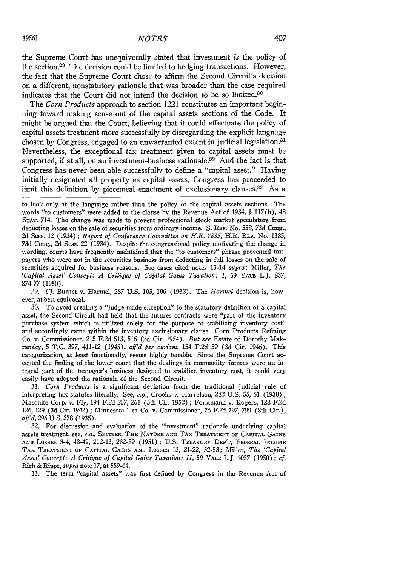the Supreme Court has unequivocally stated that investment *is* the policy of the section.<sup>20</sup> The decision could be limited to hedging transactions. However, the fact that the Supreme Court chose to affirm the Second Circuit's decision on a different, nonstatutory rationale that was broader than the case required indicates that the Court did not intend the decision to be so limited.30

The *Corn Products* approach to section 1221 constitutes an important'beginning toward making sense out of the capital assets sections of the Code. It might be argued that the Court, believing that it could effectuate the policy of capital assets treatment more successfully by disregarding the explicit language chosen by Congress, engaged to an unwarranted extent in judicial legislation.<sup>31</sup> Nevertheless, the exceptional tax treatment given to capital assets must be supported, if at all, on an investment-business rationale.<sup>32</sup> And the fact is that Congress has never been able successfully to define a "capital asset." Having initially designated all property as capital assets, Congress has proceeded to limit this definition by piecemeal enactment of exclusionary clauses.<sup>33</sup> As a

*29. Cf.* Burnet v. Harmel, 287 U.S. 103, 106 (1932). The *Harmel* decision is, however, at best equivocal.

30. To avoid creating a "judge-made exception" to the statutory definition of a capital asset, the Second Circuit had held that the futures contracts were "part of the inventory purchase system which is utilized solely for the purpose of stabilizing inventory cost" and accordingly came within the inventory exclusionary clause. Corn Products Refining Co. v. Commissioner, 215 **F.2d** 513, 516 (2d Cir. 1954). *But see* Estate of Dorothy Makransky, **5** T.C. *397,* 411-12 (1945), *aff'd per curian,* 154 F.2d **59** (3d Cir. 1946). This categorization, at least functionally, seems highly tenable. Since the Supreme Court accepted the finding of the lower court that the dealings in commodity futures were an integral part of the taxpayer's business designed to stabilize inventory cost, it could very easily have adopted the rationale of the Second Circuit.

*31. Corn Products* is a significant deviation from the traditional judicial rule of interpreting tax statutes literally. See, *e.g.,* Crooks v. Harrelson, 282 U.S. **55,** 61 (1930) **;** Masonite Corp. v. Fly, 194 F.2d 257, *261* (5th Cir. 1952) ; Forstmann v. Rogers, 128 F.2d *126,* 129 (3d Cir. 1942) ; Minnesota Tea Co. v. Commissioner, 76 F.2d 797, 799 (8th Cir.), *aff'd, 296* U.S. *378* (1935).

*32.* For discussion and evaluation of the "investment" rationale underlying capital assets treatment, see, *e.g.,* SELTZER, **THE NATURE AND** TAX **TREATMENT OF** CAPITAL GAINS **AND** LosSEs 3-4, 48-49, 212-13, 282-89 (1951) ; **U.S.** TREASURY **DEP'T, FEDERAL** INCOME **TAX TREATmENT OF** CAPITAL **GAINS AND** LOSSES **13,** *21-22,* **52-53;** Miller, *The 'Capital Asset' Concept: A Critique of Capital Gains Taxation: II,* 59 YALE L.J. 1057 (1950) ; *cf.* Rich & Rippe, *supra* note 17, at 559-64.

33. The term "capital assets" was first defined by Congress in the Revenue Act of

to look only at the language rather than the policy of the capital assets sections. The words "to customers" were added to the clause **by** the Revenue Act of 1934, § 117(b), 48 **STAT.** 714. The change was made to prevent professional stock market speculators from deducting losses on the sale of securities from ordinary income. **S.** REP. No. **558,** 73d Cong., 2d Sess. 12 (1934) ; *Report of Conference Committee on H.R. 7835,* H.R. REP. No. 1385, *73d* Cong., 2d Sess. 22 (1934). Despite the congressional policy motivating the change in wording, courts have frequently maintained that the "to customers" phrase prevented taxpayers who were not in the securities business from deducting in full losses on the sale of securities acquired for business reasons. See cases cited notes 13-14 *supra;* Miller, *The 'Capital Asset' Concept: A Critique of Capital Gains Taxation: I,* 59 YALE L.J. 837, 874-77 (1950).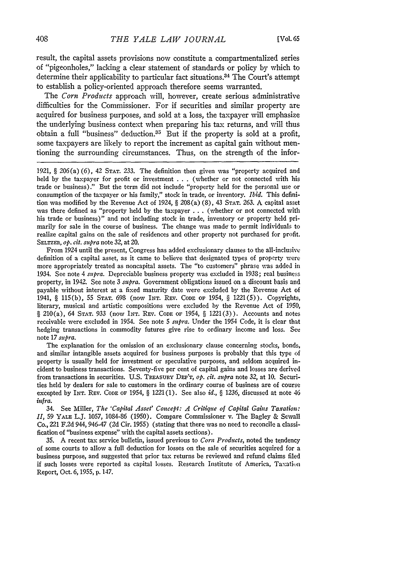result, the capital assets provisions now constitute a compartmentalized series of "pigeonholes," lacking a clear statement of standards or policy **by** which to determine their applicability to particular fact situations. 34 The Court's attempt to establish a policy-oriented approach therefore seems warranted.

The *Corn Products* approach will, however, create serious administrative difficulties for the Commissioner. For if securities and similar property are acquired for business purposes, and sold at a loss, the taxpayer will emphasize the underlying business context when preparing his tax returns, and will thus obtain a full "business" deduction.35 But if the property is sold at a profit, some taxpayers are likely to report the increment as capital gain without mentioning the surrounding circumstances. Thus, on the strength of the infor-

1921, § 206(a) (6), 42 **STAT.** 233. The definition then given was "property acquired and held **by** the taxpayer for profit or investment **. . .** (whether or not connected with his trade or business)." But the term did not include "property held for the personal use or consumption of the taxpayer or his family," stock in trade, or inventory. *Ibid.* This definition was modified **by** the Revenue Act of 1924, § 208(a) (8), 43 **STAT.** 263. A capital asset was there defined as "property held **by** the taxpayer **. . .** (whether or not connected with his trade or business)" and not including stock in trade, inventory or property held primarily for sale in the course of business. The change was made to permit individuals to realize capital gains on the sale of residences and other property not purchased for profit. **SELTEaR,** *op. cit. supra* note 32, at 20.

From 1924 until the present, Congress has added exclusionary clauses to the all-inclusive definition of a capital asset, as it came to believe that designated types of property were more appropriately treated as noncapital assets. The "to customers" phrase was added in 1934. See note 4 *supra.* Depreciable business property was excluded in 1938; real business property, in 1942. See note 3 *supra.* Government obligations issued on a discount basis and payable without interest at a fixed maturity date were excluded **by** the Revenue Act of 1941, § **115(b),** 55 **STAT.** 693 (now **INT.** RV. CODE OF 1954, § 1221(5)). Copyrights, literary, musical and artistic compositions were excluded **by** the Revenue Act of 1950, § 210(a), 64 STAT. 933 (now INT. REV. CODE OF 1954, § 1221(3)). Accounts and notes receivable were excluded in 1954. See note **5** *supra.* Under the 1954 Code, it is clear that hedging transactions in commodity futures give rise to ordinary income and loss. See note 17 *supra.*

The explanation for the omission of an exclusionary clause concerning stocks, bonds, and similar intangible assets acquired for business purposes is probably that this type of property is usually held for investment or speculative purposes, and seldom acquired incident to business transactions. Seventy-five per cent of capital gains and losses are derived from transactions in securities. **U.S. TREAsURY DEm'T,** *op. cit. supra* note 32, at **10.** Securities held **by** dealers for sale to customers in the ordinary course of business are of course excepted **by INT.** REv. **CODE** OF 1954, § 1221(1). See also *id., §* 1236, discussed at note 46 *infra.*

34. See Miller, *The 'Capital Asset' Concept: A Critique of Capital Gains Taxation: II,* 59 **YALE** L.J. 1057, 1084-86 (1950). Compare Commissioner v. The Bagley & Sewall Co., 221 F.2d 944, 946-47 (2d Cir. 1955) (stating that there was no need to reconcile a classification of "business expense" with the capital assets sections).

35. A recent tax service bulletin, issued previous to *Corn Products,* noted the tendency of some courts to allow a full deduction for losses on the sale of securities acquired for a business purpose, and suggested that prior tax returns be reviewed and refund claims filed if such losses were reported as capital losses. Research Institute of America, Taxation Report, Oct. 6, 1955, **p.** 147.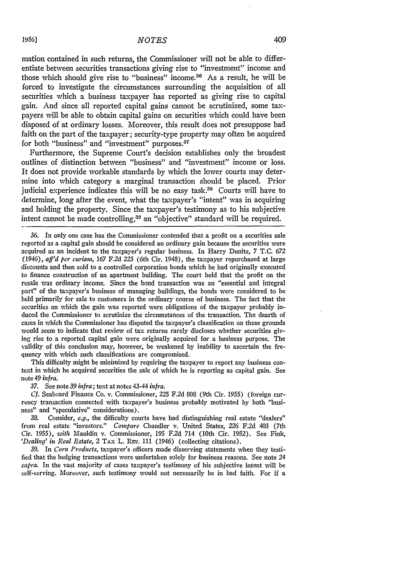mation contained in such returns, the Commissioner will not be able to differentiate between securities transactions giving rise to "investment" income and those which should give rise to "business" income.<sup>36</sup> As a result, he will be forced to investigate the circumstances surrounding the acquisition of all securities which a business taxpayer has reported as giving rise to capital gain. And since all reported capital gains cannot be scrutinized, some taxpayers will be able to obtain capital gains on securities which could have been disposed of at ordinary losses. Moreover, this result does not presuppose bad faith on the part of the taxpayer; security-type property may often be acquired for both "business" and "investment" purposes.<sup>37</sup>

Furthermore, the Supreme Court's decision establishes only the broadest outlines of distinction between "business" and "investment" income or loss. It does not provide workable standards by which the lower courts may determine into which category a marginal transaction should be placed. Prior judicial experience indicates this will be no easy task.<sup>38</sup> Courts will have to determine, long after the event, what the taxpayer's "intent" was in acquiring and holding the property. Since the taxpayer's testimony as to his subjective intent cannot be made controlling,<sup>39</sup> an "objective" standard will be required.

This difficulty might be minimized by requiring the taxpayer to report any business context in which he acquired securities the sale of which he is reporting as capital gain. See note 49 *infra.*

*37.* See note 39 *infra;* text at notes 43-44 *infra.*

*Cf.* Seaboard Finance Co. v. Commissioner, 225 F.2d 808 (9th Cir. 1955) (foreign currency transaction connected with taxpayer's business probably motivated by both "business" and "speculative" considerations).

38. Consider, *e.g.,* the difficulty courts have had distinguishing real estate "dealers" from real estate "investors." *Compare* Chandler v. United States, 226 F.2d 403 (7th Cir. 1955), *with* Mauldin v. Commissioner, 195 F.2d 714 (10th Cir. 1952). See Fink, *'Dealing' in Real Estate,* 2 TAx L. REv. 111 (1946) (collecting citations).

**39.** In *Corn Products,* taxpayer's officers made disserving statements when they testified that the hedging transactions were undertaken solely for business reasons. See note 24 *supra.* In the vast majority of cases taxpayer's testimony of his subjective intent will be self-serving. Moreover, such testimony would not necessarily be in bad faith. For if a

*<sup>36.</sup>* In only one case has the Commissioner contended that a profit on a securities sale reported as a capital gain should be considered an ordinary gain because the securities were acquired as an incident to the taxpayer's regular business. In Harry Dunitz, 7 T.C. *672 (1946), aff'd per curam,* 167 F.2d 223 (6th Cir. 1948), the taxpayer repurchased at large discounts and then sold to a controlled corporation bonds which he had originally executed to finance construction of an apartment building. The court held that the profit on the resale was ordinary income. Since the bond transaction was an "essential and integral part" of the taxpayer's business of managing buildings, the bonds were considered to be held primarily for sale to customers in the ordinary course of business. The fact that the securities on which the gain was reported were obligations of the taxpayer probably induced the Commissioner to scrutinize the circumstances of the transaction. The dearth of cases in which the Commissioner has disputed the taxpayer's classification on these grounds would seem to indicate that review of tax returns rarely discloses whether securities giving rise to a reported capital gain were originally acquired for a business purpose. The validity of this conclusion may, however, be weakened by inability to ascertain the frequency with which such classifications are compromised.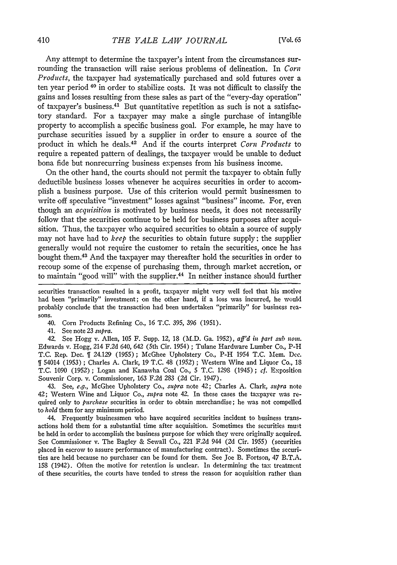Any attempt to determine the taxpayer's intent from the circumstances surrounding the transaction **will** raise serious problems of delineation. In *Corn Products,* the taxpayer had systematically purchased and sold futures over a ten year period **40** in order to stabilize costs. It was not difficult to classify the gains and losses resulting from these sales as part of the "every-day operation" of taxpayer's business. 4' But quantitative repetition as such is not a satisfactory standard. For a taxpayer may make a single purchase **of** intangible property to accomplish a specific business goal. For example, he may have to purchase securities issued **by** a supplier in order to ensure a source of the product in which he deals.42 And if the courts interpret *Corn Products* to require a repeated pattern of dealings, the taxpayer would be unable to deduct bona fide but nonrecurring business expenses from his business income.

On the other hand, the courts should not permit the taxpayer to obtain fully deductible business losses whenever he acquires securities in order to accomplish a business purpose. Use of this criterion would permit businessmen to write off speculative "investment" losses against "business" income. For, even though an *acquisition* is motivated **by** business needs, it does not necessarily follow that the securities continue to be held for business purposes after acquisition. Thus, the taxpayer who acquired securities to obtain a source of supply may not have had to *keep* the securities to obtain future supply; the supplier generally would not require the customer to retain the securities, once he has bought them. 43 And the taxpayer may thereafter hold the securities in order to recoup some of the expense of purchasing them, through market accretion, or to maintain "good will" with the supplier.<sup>44</sup> In neither instance should further

securities transaction resulted in a profit, taxpayer might very well feel that his motive had been "primarily" investment; on the other hand, if a loss was incurred, he would probably conclude that the transaction **had** been undertaken "primarily" for business reasons.

40. Corn Products Refining Co., **16 T.C. 395, 396 (1951).**

41. See note **23** *supra.*

42. See Hogg v. Allen, **105** F. Supp. 12, **18** (M.D. Ga. **1952),** *aff'd in part sub norm.* Edwards v. Hogg, 214 **F.2d** 640, 642 (5th Cir. 1954) **;** Tulane Hardware Lumber Co., P-H **T.C.** Rep. Dec. **1** 24.129 **(1955);** McGhee Upholstery Co., P-H 1954 **T.C.** \MIem. Dec. **1** 54014 **(1953) ;** Charles **A.** Clark, **19 T.C.** 48 **(1952) ;** Western Wine and Liquor Co., **18 T.C. 1090 (1952);** Logan and Kanawha Coal Co., **5 T.C. 1298** (1945); cf. Exposition Souvenir Corp. v. Commissioner, **163 F.2d 283 (2d** Cir. 1947).

43. See, *e.g.,* McGhee Upholstery Co., *supra* note 42; Charles **A.** Clark, *supra* note 42; Western Wine and Liquor Co., *supra* note 42. In these cases the taxpayer was required only to *purchase* securities in order to obtain merchandise; he was not compelled to *hold* them for any minimum period.

44. Frequently businessmen who have acquired securities incident to business transactions hold them for a substantial time after acquisition. Sometimes the securities must be held in order to accomplish the business purpose for which they were originally acquired. See Commissioner v. The Bagley **&** Sewall Co., 221 **F.2d** 944 **(2d** Cir. **1955)** (securities placed in escrow to assure performance of manufacturing contract). Sometimes the securities are held because no purchaser can be found for them. See Joe **B.** Fortson, 47 B.T.A. **158** (1942). Often the motive for retention is unclear. In determining the tax treatment of these securities, the courts have tended to stress the reason for acquisition rather than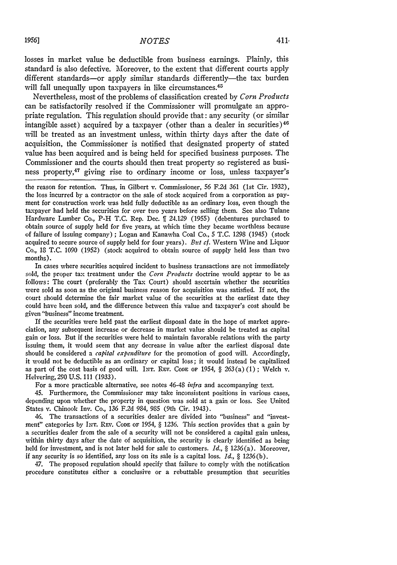losses in market value be deductible from business earnings. Plainly, this standard is also defective. Moreover, to the extent that different courts apply different standards-or apply similar standards differently-the tax burden will fall unequally upon taxpayers in like circumstances.<sup>45</sup>

Nevertheless, most of the problems of classification created by *Corn Products* can be satisfactorily resolved if the Commissioner will promulgate an appropriate regulation. This regulation should provide that: any security (or similar intangible asset) acquired by a taxpayer (other than a dealer in securities)<sup>46</sup> will be treated as an investment unless, within thirty days after the date of acquisition, the Commissioner is notified that designated property of stated value has been acquired and is being held for specified business purposes. The Commissioner and the courts should then treat property so registered as business property,<sup>47</sup> giving rise to ordinary income or loss, unless taxpayer's

the reason for retention. Thus, in Gilbert v. Commissioner, 56 F.2d 361 (1st Cir. 1932), the loss incurred by a contractor on the sale of stock acquired from a corporation as payment for construction work was held fully deductible as an ordinary loss, even though the taxpayer had held the securities for over two years before selling them. See also Tulane Hardware Lumber Co., P-H T.C. Rep. Dec.  $\parallel$  24.129 (1955) (debentures purchased to obtain source of supply held for five years, at which time they became worthless because of failure of issuing company) **;** Logan and Kanawha Coal Co., 5 T.C. 1298 (1945) (stock acquired to secure source of supply held for four years). *But* cf. Western Wine and Liquor Co., 18 T.C. 1090 (1952) (stock acquired to obtain source of supply held less than two months).

In cases where securities acquired incident to business transactions are not immediately sold, the proper tax treatment under the *Corn Products* doctrine would appear to be as follows: The court (preferably the Tax Court) should ascertain whether the securities were sold as soon as the original business reason for acquisition was satisfied. If not, the court should determine the fair market value of the securities at the earliest date they could have been sold, and the difference between this value and taxpayer's cost should be given "business" income treatment.

If the securities were held past the earliest disposal date in the hope of market appreciation, any subsequent increase or decrease in market value should be treated as capital gain or loss. But if the securities were held to maintain favorable relations with the party issuing them, it would seem that any decrease in value after the earliest disposal date should be considered a *capital expenditure* for the promotion of good will. Accordingly, it would not be deductible as an ordinary or capital loss; it would instead be capitalized as part of the cost basis of good will. INT. REV. Code or 1954,  $\S$  263(a)(1); Welch v. Helvering, 290 U.S. 111 (1933).

For a more practicable alternative, see notes 46-48 *infra* and accompanying text.

45. Furthermore, the Commissioner may take inconsistent positions in various cases, depending upon whether the property in question was sold at a gain or loss. See United States v. Chinook Inv. Co., 136 F.2d 984, 985 (9th Cir. 1943).

*46.* The transactions of a securities dealer are divided into "business" and "investment" categories by INT. **REV. CODE OF** 1954, § 1236. This section provides that a gain by a securities dealer from the sale of a security will not be considered a capital gain unless, within thirty days after the date of acquisition, the security is clearly identified as being held for investment, and is not later held for sale to customers. *Id., §* 1236 (a). Moreover, if any security is so identified, any loss on its sale is a capital loss. *Id., §* 1236(b).

47. The proposed regulation should specify that failure to comply with the notification procedure constitutes either a conclusive or a rebuttable presumption that securities